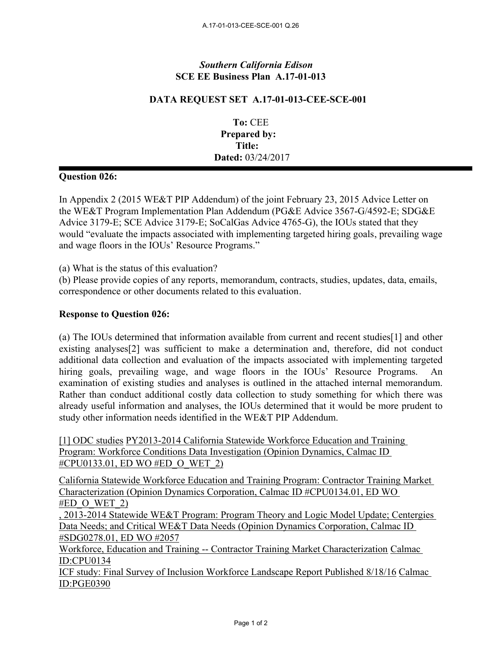## *Southern California Edison* **SCE EE Business Plan A.17-01-013**

## **DATA REQUEST SET A.17-01-013-CEE-SCE-001**

**To:** CEE **Prepared by: Title: Dated:** 03/24/2017

## **Question 026:**

In Appendix 2 (2015 WE&T PIP Addendum) of the joint February 23, 2015 Advice Letter on the WE&T Program Implementation Plan Addendum (PG&E Advice 3567-G/4592-E; SDG&E Advice 3179-E; SCE Advice 3179-E; SoCalGas Advice 4765-G), the IOUs stated that they would "evaluate the impacts associated with implementing targeted hiring goals, prevailing wage and wage floors in the IOUs' Resource Programs."

(a) What is the status of this evaluation?

(b) Please provide copies of any reports, memorandum, contracts, studies, updates, data, emails, correspondence or other documents related to this evaluation.

## **Response to Question 026:**

(a) The IOUs determined that information available from current and recent studies[1] and other existing analyses[2] was sufficient to make a determination and, therefore, did not conduct additional data collection and evaluation of the impacts associated with implementing targeted hiring goals, prevailing wage, and wage floors in the IOUs' Resource Programs. An examination of existing studies and analyses is outlined in the attached internal memorandum. Rather than conduct additional costly data collection to study something for which there was already useful information and analyses, the IOUs determined that it would be more prudent to study other information needs identified in the WE&T PIP Addendum.

[1] ODC studies PY2013-2014 California Statewide Workforce Education and Training Program: Workforce Conditions Data Investigation (Opinion Dynamics, Calmac ID #CPU0133.01, ED WO #ED\_O\_WET\_2)

California Statewide Workforce Education and Training Program: Contractor Training Market Characterization (Opinion Dynamics Corporation, Calmac ID #CPU0134.01, ED WO  $#ED$  O WET 2)

, 2013-2014 Statewide WE&T Program: Program Theory and Logic Model Update; Centergies Data Needs; and Critical WE&T Data Needs (Opinion Dynamics Corporation, Calmac ID #SDG0278.01, ED WO #2057

Workforce, Education and Training -- Contractor Training Market Characterization Calmac ID:CPU0134

ICF study: Final Survey of Inclusion Workforce Landscape Report Published 8/18/16 Calmac ID:PGE0390